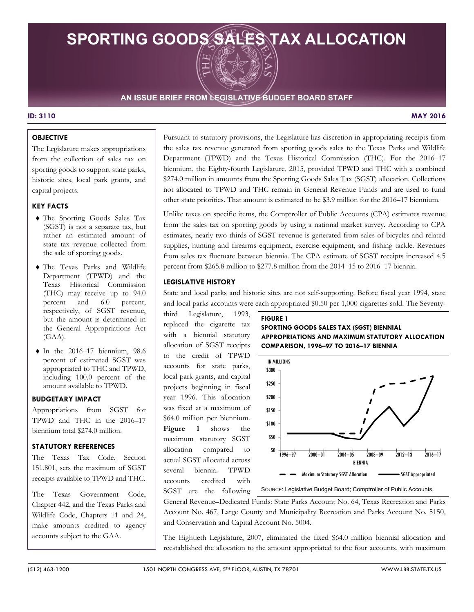# **SPORTING GOODS SALES TAX ALLOCATION**



**AN ISSUE BRIEF FROM LEGISLATIVE BUDGET BOARD STAFF** 

#### **ID: 3110 MAY 2016**

# **OBJECTIVE**

The Legislature makes appropriations from the collection of sales tax on sporting goods to support state parks, historic sites, local park grants, and capital projects.

# **KEY FACTS**

- ♦ The Sporting Goods Sales Tax (SGST) is not a separate tax, but rather an estimated amount of state tax revenue collected from the sale of sporting goods.
- ♦ The Texas Parks and Wildlife Department (TPWD) and the Texas Historical Commission (THC) may receive up to 94.0 percent and 6.0 percent, respectively, of SGST revenue, but the amount is determined in the General Appropriations Act (GAA).
- $\blacklozenge$  In the 2016–17 biennium, 98.6 percent of estimated SGST was appropriated to THC and TPWD, including 100.0 percent of the amount available to TPWD.

#### **BUDGETARY IMPACT**

Appropriations from SGST for TPWD and THC in the 2016–17 biennium total \$274.0 million.

# **STATUTORY REFERENCES**

The Texas Tax Code, Section 151.801, sets the maximum of SGST receipts available to TPWD and THC.

 make amounts credited to agency The Texas Government Code, Chapter 442, and the Texas Parks and Wildlife Code, Chapters 11 and 24, accounts subject to the GAA.

Pursuant to statutory provisions, the Legislature has discretion in appropriating receipts from the sales tax revenue generated from sporting goods sales to the Texas Parks and Wildlife Department (TPWD) and the Texas Historical Commission (THC). For the 2016–17 biennium, the Eighty-fourth Legislature, 2015, provided TPWD and THC with a combined \$274.0 million in amounts from the Sporting Goods Sales Tax (SGST) allocation. Collections not allocated to TPWD and THC remain in General Revenue Funds and are used to fund other state priorities. That amount is estimated to be \$3.9 million for the 2016–17 biennium.

 supplies, hunting and firearms equipment, exercise equipment, and fishing tackle. Revenues Unlike taxes on specific items, the Comptroller of Public Accounts (CPA) estimates revenue from the sales tax on sporting goods by using a national market survey. According to CPA estimates, nearly two-thirds of SGST revenue is generated from sales of bicycles and related from sales tax fluctuate between biennia. The CPA estimate of SGST receipts increased 4.5 percent from \$265.8 million to \$277.8 million from the 2014–15 to 2016–17 biennia.

# **LEGISLATIVE HISTORY**

State and local parks and historic sites are not self-supporting. Before fiscal year 1994, state and local parks accounts were each appropriated \$0.50 per 1,000 cigarettes sold. The Seventy-

 allocation compared to credited third Legislature, 1993, **FIGURE 1**<br>replaced the cigarette tax **FIGURE 1** to the credit of TPWD accounts for state parks, local park grants, and capital projects beginning in fiscal year 1996. This allocation was fixed at a maximum of \$64.0 million per biennium. **Figure 1** shows the maximum statutory SGST actual SGST allocated across several biennia. TPWD accounts credited with SGST are the following





General Revenue–Dedicated Funds: State Parks Account No. 64, Texas Recreation and Parks Account No. 467, Large County and Municipality Recreation and Parks Account No. 5150, and Conservation and Capital Account No. 5004.

The Eightieth Legislature, 2007, eliminated the fixed \$64.0 million biennial allocation and reestablished the allocation to the amount appropriated to the four accounts, with maximum